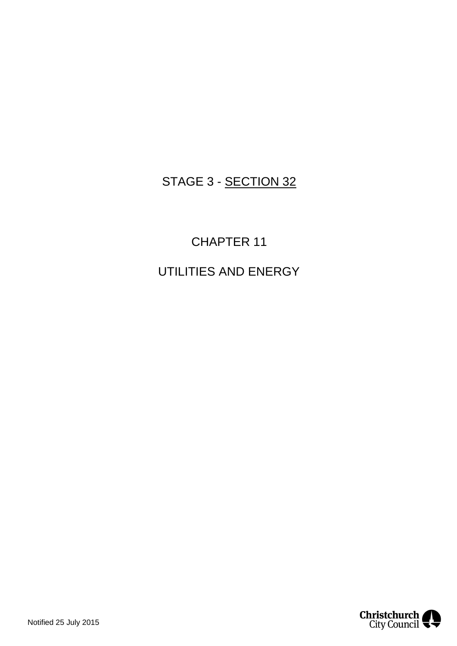# STAGE 3 - SECTION 32

CHAPTER 11 UTILITIES AND ENERGY

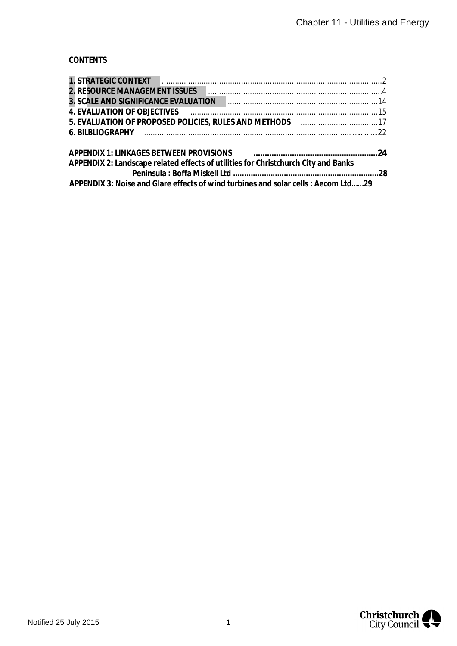# **CONTENTS**

| 2. RESOURCE MANAGEMENT ISSUES PROGRESS AND CONTROLLER AND ASSESSMENT AND RESOURCE MANAGEMENT ISSUES                               |  |
|-----------------------------------------------------------------------------------------------------------------------------------|--|
|                                                                                                                                   |  |
|                                                                                                                                   |  |
| 5. EVALUATION OF PROPOSED POLICIES, RULES AND METHODS [11] [12] [13] [13] [15] EVALUATION OF PROPOSED POLICIES, RULES AND METHODS |  |
|                                                                                                                                   |  |
|                                                                                                                                   |  |
| APPENDIX 2: Landscape related effects of utilities for Christchurch City and Banks                                                |  |
|                                                                                                                                   |  |
| APPENDIX 3: Noise and Glare effects of wind turbines and solar cells : Aecom Ltd29                                                |  |

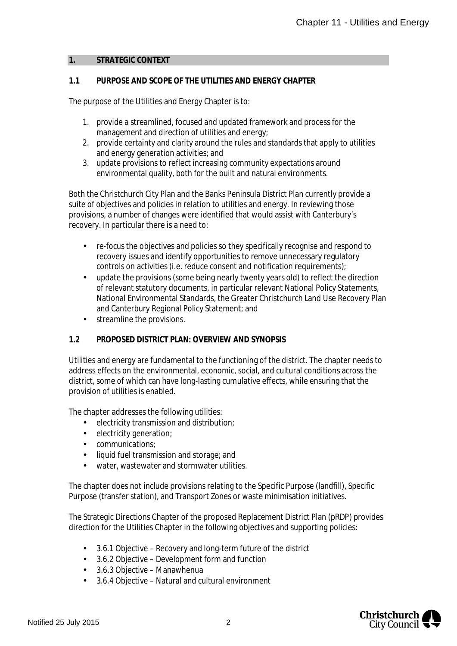#### <span id="page-2-0"></span>**1. STRATEGIC CONTEXT**

## **1.1 PURPOSE AND SCOPE OF THE UTILITIES AND ENERGY CHAPTER**

The purpose of the Utilities and Energy Chapter is to:

- 1. provide a streamlined, focused and updated framework and process for the management and direction of utilities and energy;
- 2. provide certainty and clarity around the rules and standards that apply to utilities and energy generation activities; and
- 3. update provisions to reflect increasing community expectations around environmental quality, both for the built and natural environments.

Both the Christchurch City Plan and the Banks Peninsula District Plan currently provide a suite of objectives and policies in relation to utilities and energy. In reviewing those provisions, a number of changes were identified that would assist with Canterbury's recovery. In particular there is a need to:

- re-focus the objectives and policies so they specifically recognise and respond to recovery issues and identify opportunities to remove unnecessary regulatory controls on activities (i.e. reduce consent and notification requirements);
- update the provisions (some being nearly twenty years old) to reflect the direction  $\mathcal{L}^{\mathcal{L}}$ of relevant statutory documents, in particular relevant National Policy Statements, National Environmental Standards, the Greater Christchurch Land Use Recovery Plan and Canterbury Regional Policy Statement; and
- streamline the provisions.  $\mathbf{r}^{\prime}$

#### **1.2 PROPOSED DISTRICT PLAN: OVERVIEW AND SYNOPSIS**

Utilities and energy are fundamental to the functioning of the district. The chapter needs to address effects on the environmental, economic, social, and cultural conditions across the district, some of which can have long-lasting cumulative effects, while ensuring that the provision of utilities is enabled.

The chapter addresses the following utilities:

- electricity transmission and distribution;
- $\mathcal{L}^{\mathcal{L}}$ electricity generation;
- communications;
- liquid fuel transmission and storage; and
- water, wastewater and stormwater utilities.

The chapter does not include provisions relating to the Specific Purpose (landfill), Specific Purpose (transfer station), and Transport Zones or waste minimisation initiatives.

The Strategic Directions Chapter of the proposed Replacement District Plan (pRDP) provides direction for the Utilities Chapter in the following objectives and supporting policies:

- 3.6.1 Objective Recovery and long-term future of the district
- 3.6.2 Objective Development form and function
- 3.6.3 Objective Manawhenua  $\mathcal{L}^{\text{max}}$
- 3.6.4 Objective Natural and cultural environment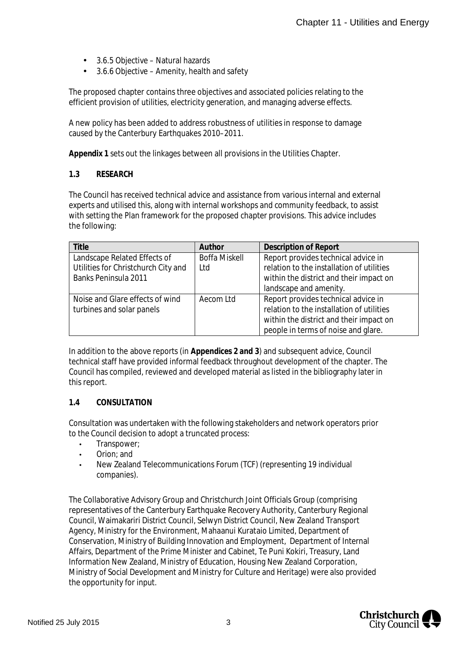- 3.6.5 Objective Natural hazards
- 3.6.6 Objective Amenity, health and safety  $\mathbf{r}$

The proposed chapter contains three objectives and associated policies relating to the efficient provision of utilities, electricity generation, and managing adverse effects.

A new policy has been added to address robustness of utilities in response to damage caused by the Canterbury Earthquakes 2010–2011.

**Appendix 1** sets out the linkages between all provisions in the Utilities Chapter.

#### **1.3 RESEARCH**

The Council has received technical advice and assistance from various internal and external experts and utilised this, along with internal workshops and community feedback, to assist with setting the Plan framework for the proposed chapter provisions. This advice includes the following:

| <b>Title</b>                        | Author               | <b>Description of Report</b>              |
|-------------------------------------|----------------------|-------------------------------------------|
| Landscape Related Effects of        | <b>Boffa Miskell</b> | Report provides technical advice in       |
| Utilities for Christchurch City and | l td                 | relation to the installation of utilities |
| <b>Banks Peninsula 2011</b>         |                      | within the district and their impact on   |
|                                     |                      | landscape and amenity.                    |
| Noise and Glare effects of wind     | Aecom Ltd            | Report provides technical advice in       |
| turbines and solar panels           |                      | relation to the installation of utilities |
|                                     |                      | within the district and their impact on   |
|                                     |                      | people in terms of noise and glare.       |

In addition to the above reports (in **Appendices 2 and 3**) and subsequent advice, Council technical staff have provided informal feedback throughout development of the chapter. The Council has compiled, reviewed and developed material as listed in the bibliography later in this report.

#### **1.4 CONSULTATION**

Consultation was undertaken with the following stakeholders and network operators prior to the Council decision to adopt a truncated process:

- Transpower;
- Orion; and
- New Zealand Telecommunications Forum (TCF) (representing 19 individual companies).

The Collaborative Advisory Group and Christchurch Joint Officials Group (comprising representatives of the Canterbury Earthquake Recovery Authority, Canterbury Regional Council, Waimakariri District Council, Selwyn District Council, New Zealand Transport Agency, Ministry for the Environment, Mahaanui Kurataio Limited, Department of Conservation, Ministry of Building Innovation and Employment, Department of Internal Affairs, Department of the Prime Minister and Cabinet, Te Puni Kokiri, Treasury, Land Information New Zealand, Ministry of Education, Housing New Zealand Corporation, Ministry of Social Development and Ministry for Culture and Heritage) were also provided the opportunity for input.

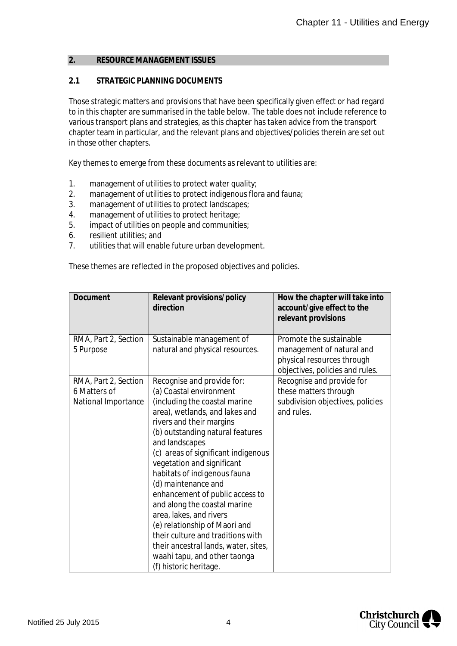#### <span id="page-4-0"></span>**2. RESOURCE MANAGEMENT ISSUES**

#### **2.1 STRATEGIC PLANNING DOCUMENTS**

Those strategic matters and provisions that have been specifically given effect or had regard to in this chapter are summarised in the table below. The table does not include reference to various transport plans and strategies, as this chapter has taken advice from the transport chapter team in particular, and the relevant plans and objectives/policies therein are set out in those other chapters.

Key themes to emerge from these documents as relevant to utilities are:

- 1. management of utilities to protect water quality;
- 2. management of utilities to protect indigenous flora and fauna;
- 3. management of utilities to protect landscapes;
- 4. management of utilities to protect heritage;
- 5. impact of utilities on people and communities;
- 6. resilient utilities; and
- 7. utilities that will enable future urban development.

These themes are reflected in the proposed objectives and policies.

| Document             | Relevant provisions/policy<br>direction | How the chapter will take into<br>account/give effect to the<br>relevant provisions |
|----------------------|-----------------------------------------|-------------------------------------------------------------------------------------|
| RMA, Part 2, Section | Sustainable management of               | Promote the sustainable                                                             |
| 5 Purpose            | natural and physical resources.         | management of natural and<br>physical resources through                             |
|                      |                                         | objectives, policies and rules.                                                     |
| RMA, Part 2, Section | Recognise and provide for:              | Recognise and provide for                                                           |
| 6 Matters of         | (a) Coastal environment                 | these matters through                                                               |
| National Importance  | (including the coastal marine           | subdivision objectives, policies                                                    |
|                      | area), wetlands, and lakes and          | and rules.                                                                          |
|                      | rivers and their margins                |                                                                                     |
|                      | (b) outstanding natural features        |                                                                                     |
|                      | and landscapes                          |                                                                                     |
|                      | (c) areas of significant indigenous     |                                                                                     |
|                      | vegetation and significant              |                                                                                     |
|                      | habitats of indigenous fauna            |                                                                                     |
|                      | (d) maintenance and                     |                                                                                     |
|                      | enhancement of public access to         |                                                                                     |
|                      | and along the coastal marine            |                                                                                     |
|                      | area, lakes, and rivers                 |                                                                                     |
|                      | (e) relationship of Maori and           |                                                                                     |
|                      | their culture and traditions with       |                                                                                     |
|                      | their ancestral lands, water, sites,    |                                                                                     |
|                      | waahi tapu, and other taonga            |                                                                                     |
|                      | (f) historic heritage.                  |                                                                                     |

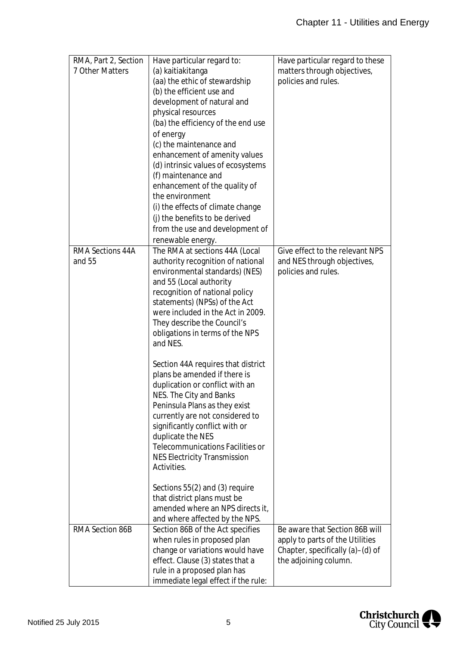| RMA, Part 2, Section    | Have particular regard to:          | Have particular regard to these  |
|-------------------------|-------------------------------------|----------------------------------|
| 7 Other Matters         | (a) kaitiakitanga                   | matters through objectives,      |
|                         | (aa) the ethic of stewardship       | policies and rules.              |
|                         | (b) the efficient use and           |                                  |
|                         | development of natural and          |                                  |
|                         | physical resources                  |                                  |
|                         | (ba) the efficiency of the end use  |                                  |
|                         | of energy                           |                                  |
|                         | (c) the maintenance and             |                                  |
|                         | enhancement of amenity values       |                                  |
|                         | (d) intrinsic values of ecosystems  |                                  |
|                         | (f) maintenance and                 |                                  |
|                         | enhancement of the quality of       |                                  |
|                         | the environment                     |                                  |
|                         | (i) the effects of climate change   |                                  |
|                         | (i) the benefits to be derived      |                                  |
|                         | from the use and development of     |                                  |
|                         | renewable energy.                   |                                  |
| <b>RMA Sections 44A</b> | The RMA at sections 44A (Local      | Give effect to the relevant NPS  |
| and 55                  | authority recognition of national   | and NES through objectives,      |
|                         | environmental standards) (NES)      | policies and rules.              |
|                         | and 55 (Local authority             |                                  |
|                         | recognition of national policy      |                                  |
|                         | statements) (NPSs) of the Act       |                                  |
|                         | were included in the Act in 2009.   |                                  |
|                         | They describe the Council's         |                                  |
|                         | obligations in terms of the NPS     |                                  |
|                         | and NES.                            |                                  |
|                         |                                     |                                  |
|                         | Section 44A requires that district  |                                  |
|                         | plans be amended if there is        |                                  |
|                         | duplication or conflict with an     |                                  |
|                         | NES. The City and Banks             |                                  |
|                         | Peninsula Plans as they exist       |                                  |
|                         | currently are not considered to     |                                  |
|                         | significantly conflict with or      |                                  |
|                         | duplicate the NES                   |                                  |
|                         | Telecommunications Facilities or    |                                  |
|                         | <b>NES Electricity Transmission</b> |                                  |
|                         | Activities.                         |                                  |
|                         |                                     |                                  |
|                         | Sections 55(2) and (3) require      |                                  |
|                         | that district plans must be         |                                  |
|                         | amended where an NPS directs it,    |                                  |
|                         | and where affected by the NPS.      |                                  |
| RMA Section 86B         | Section 86B of the Act specifies    | Be aware that Section 86B will   |
|                         | when rules in proposed plan         | apply to parts of the Utilities  |
|                         | change or variations would have     | Chapter, specifically (a)-(d) of |
|                         | effect. Clause (3) states that a    | the adjoining column.            |
|                         | rule in a proposed plan has         |                                  |
|                         | immediate legal effect if the rule: |                                  |

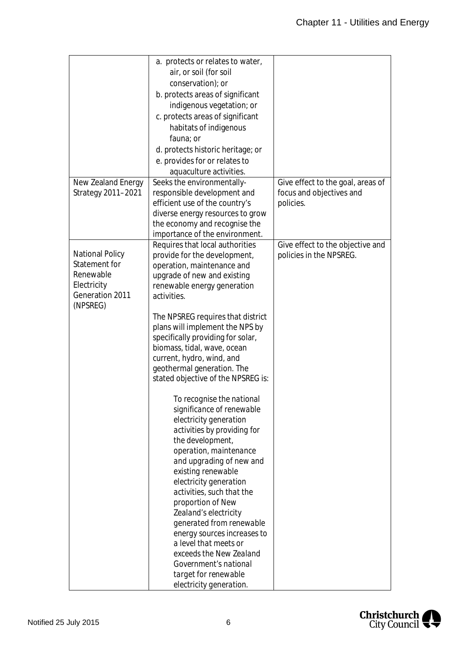|                        | a. protects or relates to water,   |                                   |
|------------------------|------------------------------------|-----------------------------------|
|                        | air, or soil (for soil             |                                   |
|                        | conservation); or                  |                                   |
|                        | b. protects areas of significant   |                                   |
|                        | indigenous vegetation; or          |                                   |
|                        |                                    |                                   |
|                        | c. protects areas of significant   |                                   |
|                        | habitats of indigenous             |                                   |
|                        | fauna; or                          |                                   |
|                        | d. protects historic heritage; or  |                                   |
|                        | e. provides for or relates to      |                                   |
|                        | aquaculture activities.            |                                   |
| New Zealand Energy     | Seeks the environmentally-         | Give effect to the goal, areas of |
| Strategy 2011-2021     | responsible development and        | focus and objectives and          |
|                        | efficient use of the country's     | policies.                         |
|                        | diverse energy resources to grow   |                                   |
|                        | the economy and recognise the      |                                   |
|                        | importance of the environment.     |                                   |
|                        | Requires that local authorities    | Give effect to the objective and  |
| <b>National Policy</b> | provide for the development,       | policies in the NPSREG.           |
| Statement for          | operation, maintenance and         |                                   |
| Renewable              | upgrade of new and existing        |                                   |
| Electricity            | renewable energy generation        |                                   |
| Generation 2011        | activities.                        |                                   |
| (NPSREG)               |                                    |                                   |
|                        | The NPSREG requires that district  |                                   |
|                        | plans will implement the NPS by    |                                   |
|                        | specifically providing for solar,  |                                   |
|                        | biomass, tidal, wave, ocean        |                                   |
|                        | current, hydro, wind, and          |                                   |
|                        | geothermal generation. The         |                                   |
|                        | stated objective of the NPSREG is: |                                   |
|                        | To recognise the national          |                                   |
|                        | significance of renewable          |                                   |
|                        | electricity generation             |                                   |
|                        | activities by providing for        |                                   |
|                        | the development,                   |                                   |
|                        | operation, maintenance             |                                   |
|                        | and upgrading of new and           |                                   |
|                        | existing renewable                 |                                   |
|                        | electricity generation             |                                   |
|                        | activities, such that the          |                                   |
|                        | proportion of New                  |                                   |
|                        | Zealand's electricity              |                                   |
|                        | generated from renewable           |                                   |
|                        | energy sources increases to        |                                   |
|                        | a level that meets or              |                                   |
|                        | exceeds the New Zealand            |                                   |
|                        | Government's national              |                                   |
|                        | target for renewable               |                                   |
|                        | electricity generation.            |                                   |

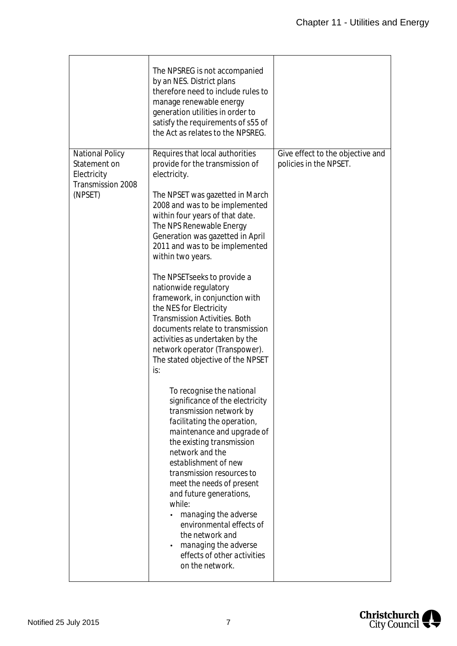|                                                                                       | The NPSREG is not accompanied<br>by an NES. District plans<br>therefore need to include rules to<br>manage renewable energy<br>generation utilities in order to<br>satisfy the requirements of s55 of<br>the Act as relates to the NPSREG.                                                                                                                                                                                                                                                                                                                                                                                                                                                                                                                                                                                                                                                                                                                                                                                                                                                        |                                                            |
|---------------------------------------------------------------------------------------|---------------------------------------------------------------------------------------------------------------------------------------------------------------------------------------------------------------------------------------------------------------------------------------------------------------------------------------------------------------------------------------------------------------------------------------------------------------------------------------------------------------------------------------------------------------------------------------------------------------------------------------------------------------------------------------------------------------------------------------------------------------------------------------------------------------------------------------------------------------------------------------------------------------------------------------------------------------------------------------------------------------------------------------------------------------------------------------------------|------------------------------------------------------------|
| <b>National Policy</b><br>Statement on<br>Electricity<br>Transmission 2008<br>(NPSET) | Requires that local authorities<br>provide for the transmission of<br>electricity.<br>The NPSET was gazetted in March<br>2008 and was to be implemented<br>within four years of that date.<br>The NPS Renewable Energy<br>Generation was gazetted in April<br>2011 and was to be implemented<br>within two years.<br>The NPSET seeks to provide a<br>nationwide regulatory<br>framework, in conjunction with<br>the NES for Electricity<br><b>Transmission Activities. Both</b><br>documents relate to transmission<br>activities as undertaken by the<br>network operator (Transpower).<br>The stated objective of the NPSET<br>is:<br>To recognise the national<br>significance of the electricity<br>transmission network by<br>facilitating the operation,<br>maintenance and upgrade of<br>the existing transmission<br>network and the<br>establishment of new<br>transmission resources to<br>meet the needs of present<br>and future generations,<br>while:<br>managing the adverse<br>environmental effects of<br>the network and<br>managing the adverse<br>effects of other activities | Give effect to the objective and<br>policies in the NPSET. |
|                                                                                       | on the network.                                                                                                                                                                                                                                                                                                                                                                                                                                                                                                                                                                                                                                                                                                                                                                                                                                                                                                                                                                                                                                                                                   |                                                            |

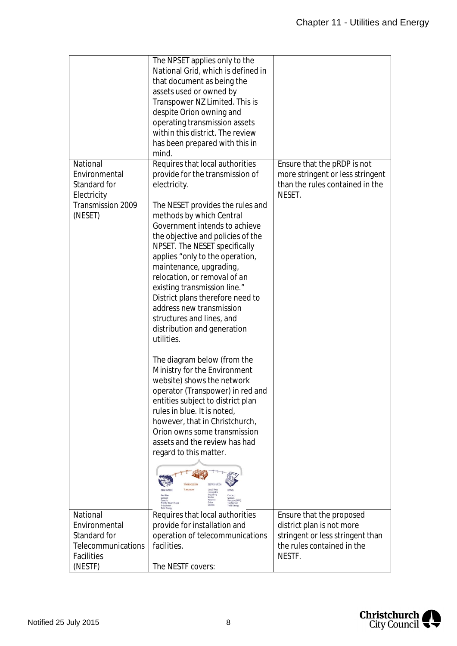|                                                                                                 | The NPSET applies only to the<br>National Grid, which is defined in<br>that document as being the<br>assets used or owned by<br>Transpower NZ Limited. This is<br>despite Orion owning and<br>operating transmission assets<br>within this district. The review<br>has been prepared with this in<br>mind.                                                                                                                                                                                                                                                                                                                                                                                                                                                                                                                                                                                                                                                                                                                                                                                      |                                                                                                                                   |
|-------------------------------------------------------------------------------------------------|-------------------------------------------------------------------------------------------------------------------------------------------------------------------------------------------------------------------------------------------------------------------------------------------------------------------------------------------------------------------------------------------------------------------------------------------------------------------------------------------------------------------------------------------------------------------------------------------------------------------------------------------------------------------------------------------------------------------------------------------------------------------------------------------------------------------------------------------------------------------------------------------------------------------------------------------------------------------------------------------------------------------------------------------------------------------------------------------------|-----------------------------------------------------------------------------------------------------------------------------------|
| National<br>Environmental<br>Standard for<br>Electricity<br>Transmission 2009<br>(NESET)        | Requires that local authorities<br>provide for the transmission of<br>electricity.<br>The NESET provides the rules and<br>methods by which Central<br>Government intends to achieve<br>the objective and policies of the<br>NPSET. The NESET specifically<br>applies "only to the operation,<br>maintenance, upgrading,<br>relocation, or removal of an<br>existing transmission line."<br>District plans therefore need to<br>address new transmission<br>structures and lines, and<br>distribution and generation<br>utilities.<br>The diagram below (from the<br>Ministry for the Environment<br>website) shows the network<br>operator (Transpower) in red and<br>entities subject to district plan<br>rules in blue. It is noted,<br>however, that in Christchurch,<br>Orion owns some transmission<br>assets and the review has had<br>regard to this matter.<br>RANSMISSION<br><b>DISTRIBUTION</b><br>Local line<br>companie:<br>including:<br>Vector<br>Contact<br>Contact<br>enesis<br>ercury (MRP)<br>owerco<br><b>Mighty River Power</b><br><b>Todd Energy</b><br>Trustp<br>Todd Ene | Ensure that the pRDP is not<br>more stringent or less stringent<br>than the rules contained in the<br>NESET.                      |
| National<br>Environmental<br>Standard for<br>Telecommunications<br><b>Facilities</b><br>(NESTF) | Requires that local authorities<br>provide for installation and<br>operation of telecommunications<br>facilities.<br>The NESTF covers:                                                                                                                                                                                                                                                                                                                                                                                                                                                                                                                                                                                                                                                                                                                                                                                                                                                                                                                                                          | Ensure that the proposed<br>district plan is not more<br>stringent or less stringent than<br>the rules contained in the<br>NESTF. |

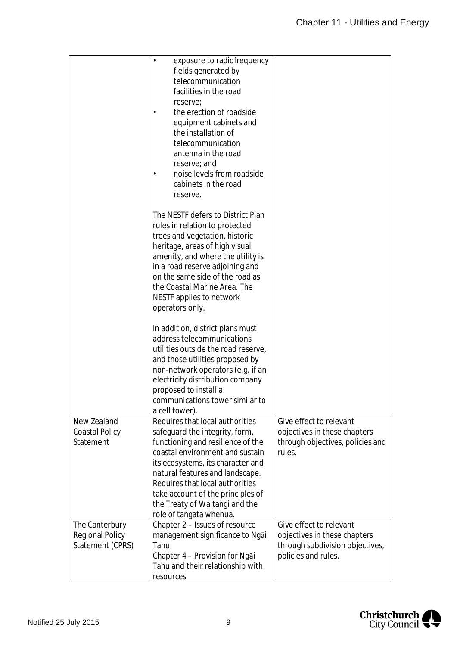|                                                              | exposure to radiofrequency<br>fields generated by<br>telecommunication<br>facilities in the road<br>reserve;<br>the erection of roadside<br>equipment cabinets and<br>the installation of<br>telecommunication<br>antenna in the road<br>reserve; and<br>noise levels from roadside<br>cabinets in the road<br>reserve.                                |                                                                                                                   |
|--------------------------------------------------------------|--------------------------------------------------------------------------------------------------------------------------------------------------------------------------------------------------------------------------------------------------------------------------------------------------------------------------------------------------------|-------------------------------------------------------------------------------------------------------------------|
|                                                              | The NESTF defers to District Plan<br>rules in relation to protected<br>trees and vegetation, historic<br>heritage, areas of high visual<br>amenity, and where the utility is<br>in a road reserve adjoining and<br>on the same side of the road as<br>the Coastal Marine Area. The<br>NESTF applies to network<br>operators only.                      |                                                                                                                   |
|                                                              | In addition, district plans must<br>address telecommunications<br>utilities outside the road reserve,<br>and those utilities proposed by<br>non-network operators (e.g. if an<br>electricity distribution company<br>proposed to install a<br>communications tower similar to<br>a cell tower).                                                        |                                                                                                                   |
| New Zealand<br><b>Coastal Policy</b><br>Statement            | Requires that local authorities<br>safeguard the integrity, form,<br>functioning and resilience of the<br>coastal environment and sustain<br>its ecosystems, its character and<br>natural features and landscape.<br>Requires that local authorities<br>take account of the principles of<br>the Treaty of Waitangi and the<br>role of tangata whenua. | Give effect to relevant<br>objectives in these chapters<br>through objectives, policies and<br>rules.             |
| The Canterbury<br><b>Regional Policy</b><br>Statement (CPRS) | Chapter 2 - Issues of resource<br>management significance to Ngai<br>Tahu<br>Chapter 4 - Provision for Ngai<br>Tahu and their relationship with<br>resources                                                                                                                                                                                           | Give effect to relevant<br>objectives in these chapters<br>through subdivision objectives,<br>policies and rules. |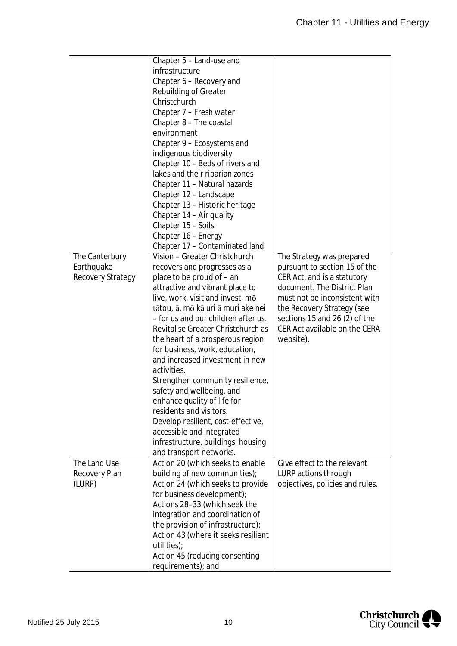|                         | Chapter 5 - Land-use and                                           |                                                         |
|-------------------------|--------------------------------------------------------------------|---------------------------------------------------------|
|                         | infrastructure                                                     |                                                         |
|                         | Chapter 6 - Recovery and                                           |                                                         |
|                         | <b>Rebuilding of Greater</b>                                       |                                                         |
|                         | Christchurch                                                       |                                                         |
|                         | Chapter 7 - Fresh water                                            |                                                         |
|                         | Chapter 8 - The coastal                                            |                                                         |
|                         | environment                                                        |                                                         |
|                         | Chapter 9 - Ecosystems and                                         |                                                         |
|                         | indigenous biodiversity                                            |                                                         |
|                         | Chapter 10 - Beds of rivers and                                    |                                                         |
|                         | lakes and their riparian zones                                     |                                                         |
|                         | Chapter 11 - Natural hazards                                       |                                                         |
|                         | Chapter 12 - Landscape                                             |                                                         |
|                         | Chapter 13 - Historic heritage                                     |                                                         |
|                         | Chapter 14 - Air quality                                           |                                                         |
|                         | Chapter 15 - Soils                                                 |                                                         |
|                         | Chapter 16 - Energy                                                |                                                         |
|                         | Chapter 17 - Contaminated land                                     |                                                         |
| The Canterbury          | Vision - Greater Christchurch                                      | The Strategy was prepared                               |
| Earthquake              | recovers and progresses as a                                       | pursuant to section 15 of the                           |
| Recovery Strategy       | place to be proud of - an                                          | CER Act, and is a statutory                             |
|                         | attractive and vibrant place to                                    | document. The District Plan                             |
|                         | live, work, visit and invest, mo                                   | must not be inconsistent with                           |
|                         | tātou, ā, mō kā uri ā muri ake nei                                 | the Recovery Strategy (see                              |
|                         | - for us and our children after us.                                | sections 15 and 26 (2) of the                           |
|                         | Revitalise Greater Christchurch as                                 | CER Act available on the CERA                           |
|                         | the heart of a prosperous region                                   | website).                                               |
|                         | for business, work, education,                                     |                                                         |
|                         | and increased investment in new                                    |                                                         |
|                         | activities.                                                        |                                                         |
|                         | Strengthen community resilience,                                   |                                                         |
|                         | safety and wellbeing, and                                          |                                                         |
|                         | enhance quality of life for                                        |                                                         |
|                         | residents and visitors.                                            |                                                         |
|                         |                                                                    |                                                         |
|                         | Develop resilient, cost-effective,<br>accessible and integrated    |                                                         |
|                         |                                                                    |                                                         |
|                         | infrastructure, buildings, housing                                 |                                                         |
| The Land Use            | and transport networks.<br>Action 20 (which seeks to enable        | Give effect to the relevant                             |
|                         |                                                                    |                                                         |
| Recovery Plan<br>(LURP) | building of new communities);<br>Action 24 (which seeks to provide | LURP actions through<br>objectives, policies and rules. |
|                         |                                                                    |                                                         |
|                         | for business development);                                         |                                                         |
|                         | Actions 28-33 (which seek the                                      |                                                         |
|                         | integration and coordination of                                    |                                                         |
|                         | the provision of infrastructure);                                  |                                                         |
|                         | Action 43 (where it seeks resilient                                |                                                         |
|                         | utilities);                                                        |                                                         |
|                         | Action 45 (reducing consenting                                     |                                                         |
|                         | requirements); and                                                 |                                                         |

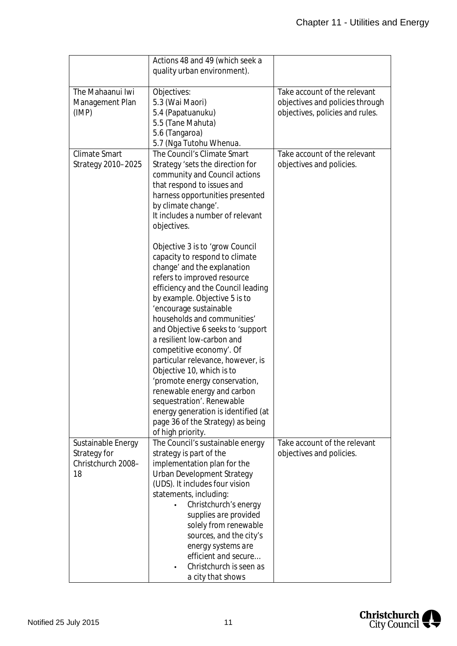|                                                                | Actions 48 and 49 (which seek a<br>quality urban environment).                                                                                                                                                                                                                                                                                                                                                                                                                                                                                                                                            |                                                                                                    |
|----------------------------------------------------------------|-----------------------------------------------------------------------------------------------------------------------------------------------------------------------------------------------------------------------------------------------------------------------------------------------------------------------------------------------------------------------------------------------------------------------------------------------------------------------------------------------------------------------------------------------------------------------------------------------------------|----------------------------------------------------------------------------------------------------|
| The Mahaanui Iwi<br>Management Plan<br>(IMP)                   | Objectives:<br>5.3 (Wai Maori)<br>5.4 (Papatuanuku)<br>5.5 (Tane Mahuta)<br>5.6 (Tangaroa)<br>5.7 (Nga Tutohu Whenua.                                                                                                                                                                                                                                                                                                                                                                                                                                                                                     | Take account of the relevant<br>objectives and policies through<br>objectives, policies and rules. |
| <b>Climate Smart</b><br>Strategy 2010-2025                     | The Council's Climate Smart<br>Strategy 'sets the direction for<br>community and Council actions<br>that respond to issues and<br>harness opportunities presented<br>by climate change'.<br>It includes a number of relevant<br>objectives.                                                                                                                                                                                                                                                                                                                                                               | Take account of the relevant<br>objectives and policies.                                           |
|                                                                | Objective 3 is to 'grow Council<br>capacity to respond to climate<br>change' and the explanation<br>refers to improved resource<br>efficiency and the Council leading<br>by example. Objective 5 is to<br>'encourage sustainable<br>households and communities'<br>and Objective 6 seeks to 'support<br>a resilient low-carbon and<br>competitive economy'. Of<br>particular relevance, however, is<br>Objective 10, which is to<br>'promote energy conservation,<br>renewable energy and carbon<br>sequestration'. Renewable<br>energy generation is identified (at<br>page 36 of the Strategy) as being |                                                                                                    |
| Sustainable Energy<br>Strategy for<br>Christchurch 2008-<br>18 | of high priority.<br>The Council's sustainable energy<br>strategy is part of the<br>implementation plan for the<br>Urban Development Strategy<br>(UDS). It includes four vision<br>statements, including:<br>Christchurch's energy<br>supplies are provided<br>solely from renewable<br>sources, and the city's<br>energy systems are<br>efficient and secure<br>Christchurch is seen as<br>a city that shows                                                                                                                                                                                             | Take account of the relevant<br>objectives and policies.                                           |

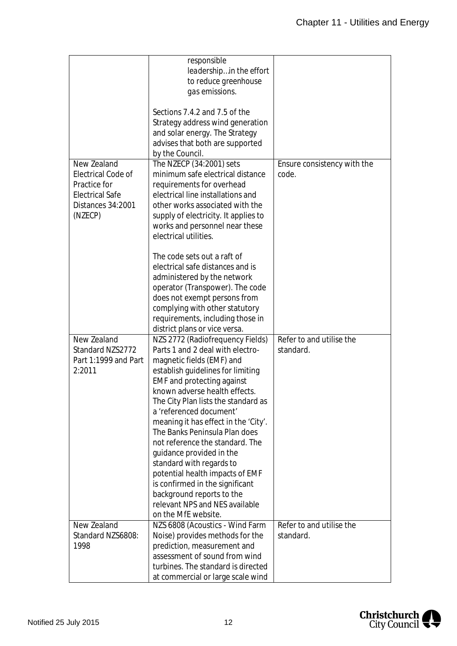|                        | responsible                          |                             |
|------------------------|--------------------------------------|-----------------------------|
|                        | leadershipin the effort              |                             |
|                        | to reduce greenhouse                 |                             |
|                        | gas emissions.                       |                             |
|                        |                                      |                             |
|                        | Sections 7.4.2 and 7.5 of the        |                             |
|                        | Strategy address wind generation     |                             |
|                        | and solar energy. The Strategy       |                             |
|                        |                                      |                             |
|                        | advises that both are supported      |                             |
|                        | by the Council.                      |                             |
| New Zealand            | The NZECP (34:2001) sets             | Ensure consistency with the |
| Electrical Code of     | minimum safe electrical distance     | code.                       |
| Practice for           | requirements for overhead            |                             |
| <b>Electrical Safe</b> | electrical line installations and    |                             |
| Distances 34:2001      | other works associated with the      |                             |
| (NZECP)                | supply of electricity. It applies to |                             |
|                        | works and personnel near these       |                             |
|                        |                                      |                             |
|                        | electrical utilities.                |                             |
|                        |                                      |                             |
|                        | The code sets out a raft of          |                             |
|                        | electrical safe distances and is     |                             |
|                        | administered by the network          |                             |
|                        | operator (Transpower). The code      |                             |
|                        | does not exempt persons from         |                             |
|                        | complying with other statutory       |                             |
|                        |                                      |                             |
|                        | requirements, including those in     |                             |
|                        | district plans or vice versa.        |                             |
| New Zealand            | NZS 2772 (Radiofrequency Fields)     | Refer to and utilise the    |
| Standard NZS2772       | Parts 1 and 2 deal with electro-     | standard.                   |
| Part 1:1999 and Part   | magnetic fields (EMF) and            |                             |
| 2:2011                 | establish guidelines for limiting    |                             |
|                        | <b>EMF</b> and protecting against    |                             |
|                        | known adverse health effects.        |                             |
|                        | The City Plan lists the standard as  |                             |
|                        | a 'referenced document'              |                             |
|                        |                                      |                             |
|                        | meaning it has effect in the 'City'. |                             |
|                        | The Banks Peninsula Plan does        |                             |
|                        | not reference the standard. The      |                             |
|                        | quidance provided in the             |                             |
|                        | standard with regards to             |                             |
|                        | potential health impacts of EMF      |                             |
|                        | is confirmed in the significant      |                             |
|                        | background reports to the            |                             |
|                        | relevant NPS and NES available       |                             |
|                        |                                      |                             |
|                        | on the MfE website.                  |                             |
| New Zealand            | NZS 6808 (Acoustics - Wind Farm      | Refer to and utilise the    |
| Standard NZS6808:      | Noise) provides methods for the      | standard.                   |
| 1998                   | prediction, measurement and          |                             |
|                        | assessment of sound from wind        |                             |
|                        | turbines. The standard is directed   |                             |
|                        | at commercial or large scale wind    |                             |

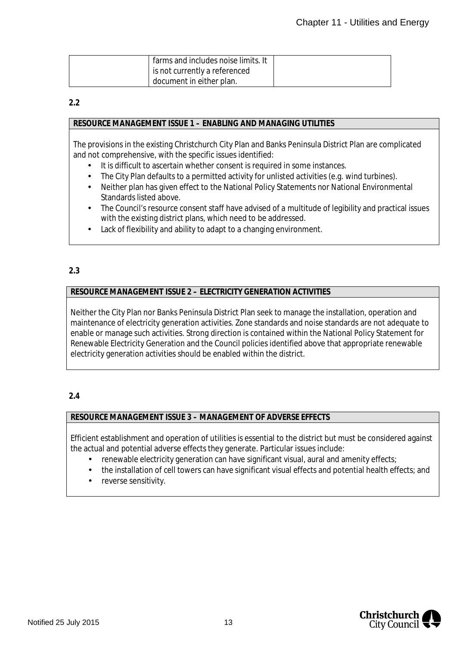| farms and includes noise limits. It |  |
|-------------------------------------|--|
| is not currently a referenced       |  |
| document in either plan.            |  |

#### **2.2**

#### **RESOURCE MANAGEMENT ISSUE 1 – ENABLING AND MANAGING UTILITIES**

The provisions in the existing Christchurch City Plan and Banks Peninsula District Plan are complicated and not comprehensive, with the specific issues identified:

- It is difficult to ascertain whether consent is required in some instances.
- The City Plan defaults to a permitted activity for unlisted activities (e.g. wind turbines).
- Neither plan has given effect to the National Policy Statements nor National Environmental Standards listed above.
- The Council's resource consent staff have advised of a multitude of legibility and practical issues with the existing district plans, which need to be addressed.
- Lack of flexibility and ability to adapt to a changing environment.

## **2.3**

## **RESOURCE MANAGEMENT ISSUE 2 – ELECTRICITY GENERATION ACTIVITIES**

Neither the City Plan nor Banks Peninsula District Plan seek to manage the installation, operation and maintenance of electricity generation activities. Zone standards and noise standards are not adequate to enable or manage such activities. Strong direction is contained within the National Policy Statement for Renewable Electricity Generation and the Council policies identified above that appropriate renewable electricity generation activities should be enabled within the district.

#### **2.4**

#### **RESOURCE MANAGEMENT ISSUE 3 – MANAGEMENT OF ADVERSE EFFECTS**

Efficient establishment and operation of utilities is essential to the district but must be considered against the actual and potential adverse effects they generate. Particular issues include:

- renewable electricity generation can have significant visual, aural and amenity effects;
- the installation of cell towers can have significant visual effects and potential health effects; and  $\mathbf{r}$
- reverse sensitivity.

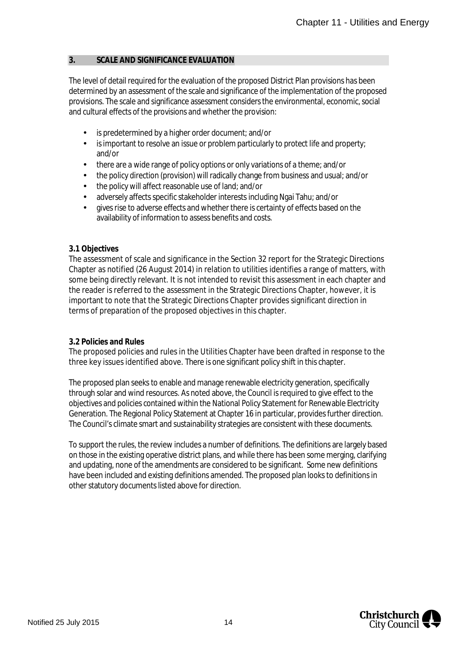#### **3. SCALE AND SIGNIFICANCE EVALUATION**

The level of detail required for the evaluation of the proposed District Plan provisions has been determined by an assessment of the scale and significance of the implementation of the proposed provisions. The scale and significance assessment considers the environmental, economic, social and cultural effects of the provisions and whether the provision:

- is predetermined by a higher order document; and/or
- is important to resolve an issue or problem particularly to protect life and property;  $\mathcal{L}^{\mathcal{L}}$ and/or
- there are a wide range of policy options or only variations of a theme; and/or
- the policy direction (provision) will radically change from business and usual; and/or
- the policy will affect reasonable use of land; and/or
- adversely affects specific stakeholder interests including Ngai Tahu; and/or
- gives rise to adverse effects and whether there is certainty of effects based on the availability of information to assess benefits and costs.

#### **3.1 Objectives**

The assessment of scale and significance in the Section 32 report for the Strategic Directions Chapter as notified (26 August 2014) in relation to utilities identifies a range of matters, with some being directly relevant. It is not intended to revisit this assessment in each chapter and the reader is referred to the assessment in the Strategic Directions Chapter, however, it is important to note that the Strategic Directions Chapter provides significant direction in terms of preparation of the proposed objectives in this chapter.

#### **3.2 Policies and Rules**

The proposed policies and rules in the Utilities Chapter have been drafted in response to the three key issues identified above. There is one significant policy shift in this chapter.

The proposed plan seeks to enable and manage renewable electricity generation, specifically through solar and wind resources. As noted above, the Council is required to give effect to the objectives and policies contained within the National Policy Statement for Renewable Electricity Generation. The Regional Policy Statement at Chapter 16 in particular, provides further direction. The Council's climate smart and sustainability strategies are consistent with these documents.

<span id="page-14-0"></span>To support the rules, the review includes a number of definitions. The definitions are largely based on those in the existing operative district plans, and while there has been some merging, clarifying and updating, none of the amendments are considered to be significant. Some new definitions have been included and existing definitions amended. The proposed plan looks to definitions in other statutory documents listed above for direction.

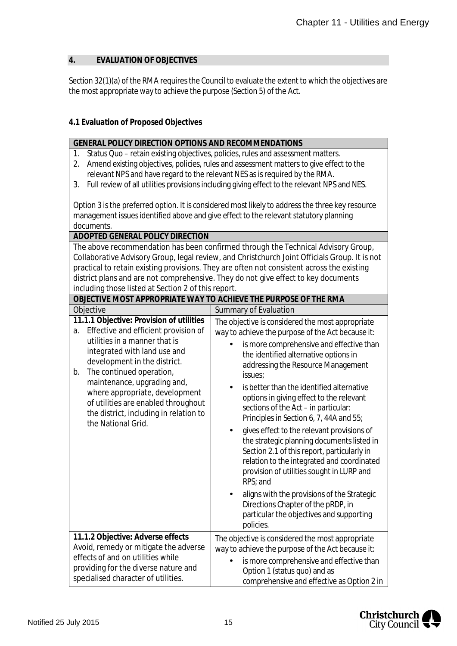## **4. EVALUATION OF OBJECTIVES**

Section 32(1)(a) of the RMA requires the Council to evaluate the extent to which the objectives are the most appropriate way to achieve the purpose (Section 5) of the Act.

**GENERAL POLICY DIRECTION OPTIONS AND RECOMMENDATIONS**

## **4.1 Evaluation of Proposed Objectives**

| Status Quo – retain existing objectives, policies, rules and assessment matters.<br>1.<br>Amend existing objectives, policies, rules and assessment matters to give effect to the<br>2.<br>relevant NPS and have regard to the relevant NES as is required by the RMA.<br>Full review of all utilities provisions including giving effect to the relevant NPS and NES.<br>3.                      |                                                                                                                                                                                                                                                                                                                                                                                                                                                                                                                                                                                                                                                                                                                                                                                                                         |  |  |  |
|---------------------------------------------------------------------------------------------------------------------------------------------------------------------------------------------------------------------------------------------------------------------------------------------------------------------------------------------------------------------------------------------------|-------------------------------------------------------------------------------------------------------------------------------------------------------------------------------------------------------------------------------------------------------------------------------------------------------------------------------------------------------------------------------------------------------------------------------------------------------------------------------------------------------------------------------------------------------------------------------------------------------------------------------------------------------------------------------------------------------------------------------------------------------------------------------------------------------------------------|--|--|--|
| documents.                                                                                                                                                                                                                                                                                                                                                                                        | Option 3 is the preferred option. It is considered most likely to address the three key resource<br>management issues identified above and give effect to the relevant statutory planning                                                                                                                                                                                                                                                                                                                                                                                                                                                                                                                                                                                                                               |  |  |  |
| ADOPTED GENERAL POLICY DIRECTION                                                                                                                                                                                                                                                                                                                                                                  |                                                                                                                                                                                                                                                                                                                                                                                                                                                                                                                                                                                                                                                                                                                                                                                                                         |  |  |  |
| including those listed at Section 2 of this report.                                                                                                                                                                                                                                                                                                                                               | The above recommendation has been confirmed through the Technical Advisory Group,<br>Collaborative Advisory Group, legal review, and Christchurch Joint Officials Group. It is not<br>practical to retain existing provisions. They are often not consistent across the existing<br>district plans and are not comprehensive. They do not give effect to key documents                                                                                                                                                                                                                                                                                                                                                                                                                                                  |  |  |  |
| OBJECTIVE MOST APPROPRIATE WAY TO ACHIEVE THE PURPOSE OF THE RMA                                                                                                                                                                                                                                                                                                                                  |                                                                                                                                                                                                                                                                                                                                                                                                                                                                                                                                                                                                                                                                                                                                                                                                                         |  |  |  |
| Objective                                                                                                                                                                                                                                                                                                                                                                                         | Summary of Evaluation                                                                                                                                                                                                                                                                                                                                                                                                                                                                                                                                                                                                                                                                                                                                                                                                   |  |  |  |
| 11.1.1 Objective: Provision of utilities<br>Effective and efficient provision of<br>a.<br>utilities in a manner that is<br>integrated with land use and<br>development in the district.<br>The continued operation,<br>b.<br>maintenance, upgrading and,<br>where appropriate, development<br>of utilities are enabled throughout<br>the district, including in relation to<br>the National Grid. | The objective is considered the most appropriate<br>way to achieve the purpose of the Act because it:<br>is more comprehensive and effective than<br>the identified alternative options in<br>addressing the Resource Management<br>issues;<br>is better than the identified alternative<br>options in giving effect to the relevant<br>sections of the Act - in particular:<br>Principles in Section 6, 7, 44A and 55;<br>gives effect to the relevant provisions of<br>the strategic planning documents listed in<br>Section 2.1 of this report, particularly in<br>relation to the integrated and coordinated<br>provision of utilities sought in LURP and<br>RPS; and<br>aligns with the provisions of the Strategic<br>Directions Chapter of the pRDP, in<br>particular the objectives and supporting<br>policies. |  |  |  |
| 11.1.2 Objective: Adverse effects<br>Avoid, remedy or mitigate the adverse<br>effects of and on utilities while<br>providing for the diverse nature and<br>specialised character of utilities.                                                                                                                                                                                                    | The objective is considered the most appropriate<br>way to achieve the purpose of the Act because it:<br>is more comprehensive and effective than<br>Option 1 (status quo) and as<br>comprehensive and effective as Option 2 in                                                                                                                                                                                                                                                                                                                                                                                                                                                                                                                                                                                         |  |  |  |

<span id="page-15-0"></span>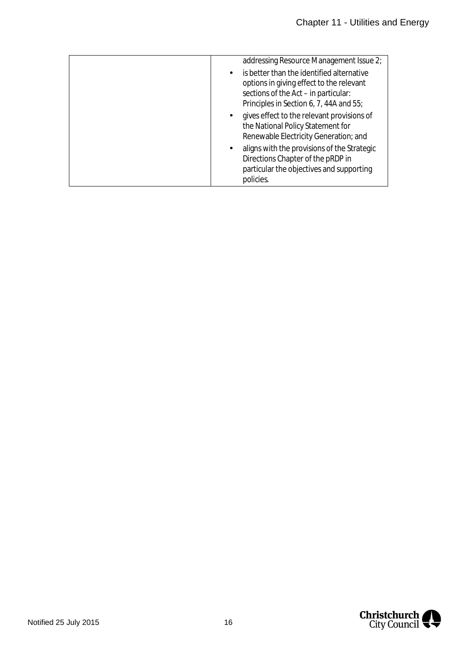|  | addressing Resource Management Issue 2;                                                                                                                                  |
|--|--------------------------------------------------------------------------------------------------------------------------------------------------------------------------|
|  | is better than the identified alternative<br>options in giving effect to the relevant<br>sections of the Act - in particular:<br>Principles in Section 6, 7, 44A and 55; |
|  | gives effect to the relevant provisions of<br>the National Policy Statement for<br>Renewable Electricity Generation; and                                                 |
|  | aligns with the provisions of the Strategic<br>Directions Chapter of the pRDP in<br>particular the objectives and supporting<br>policies.                                |

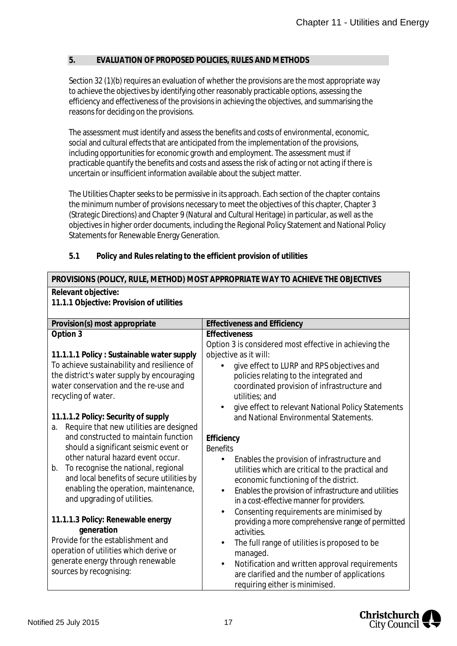## **5. EVALUATION OF PROPOSED POLICIES, RULES AND METHODS**

Section 32 (1)(b) requires an evaluation of whether the provisions are the most appropriate way to achieve the objectives by identifying other reasonably practicable options, assessing the efficiency and effectiveness of the provisions in achieving the objectives, and summarising the reasons for deciding on the provisions.

The assessment must identify and assess the benefits and costs of environmental, economic, social and cultural effects that are anticipated from the implementation of the provisions, including opportunities for economic growth and employment. The assessment must if practicable quantify the benefits and costs and assess the risk of acting or not acting if there is uncertain or insufficient information available about the subject matter.

<span id="page-17-0"></span>The Utilities Chapter seeks to be permissive in its approach. Each section of the chapter contains the minimum number of provisions necessary to meet the objectives of this chapter, Chapter 3 (Strategic Directions) and Chapter 9 (Natural and Cultural Heritage) in particular, as well as the objectives in higher order documents, including the Regional Policy Statement and National Policy Statements for Renewable Energy Generation.

| 5.1 |  |  | Policy and Rules relating to the efficient provision of utilities |
|-----|--|--|-------------------------------------------------------------------|
|-----|--|--|-------------------------------------------------------------------|

| PROVISIONS (POLICY, RULE, METHOD) MOST APPROPRIATE WAY TO ACHIEVE THE OBJECTIVES |  |  |  |  |
|----------------------------------------------------------------------------------|--|--|--|--|
| Relevant objective:<br>11.1.1 Objective: Provision of utilities                  |  |  |  |  |
|                                                                                  |  |  |  |  |
|                                                                                  |  |  |  |  |
|                                                                                  |  |  |  |  |
|                                                                                  |  |  |  |  |
|                                                                                  |  |  |  |  |
|                                                                                  |  |  |  |  |
|                                                                                  |  |  |  |  |
|                                                                                  |  |  |  |  |
| give effect to relevant National Policy Statements                               |  |  |  |  |
|                                                                                  |  |  |  |  |
|                                                                                  |  |  |  |  |
|                                                                                  |  |  |  |  |
|                                                                                  |  |  |  |  |
|                                                                                  |  |  |  |  |
|                                                                                  |  |  |  |  |
|                                                                                  |  |  |  |  |
| Enables the provision of infrastructure and utilities                            |  |  |  |  |
|                                                                                  |  |  |  |  |
| providing a more comprehensive range of permitted                                |  |  |  |  |
|                                                                                  |  |  |  |  |
|                                                                                  |  |  |  |  |
|                                                                                  |  |  |  |  |
|                                                                                  |  |  |  |  |
| Notification and written approval requirements                                   |  |  |  |  |
|                                                                                  |  |  |  |  |

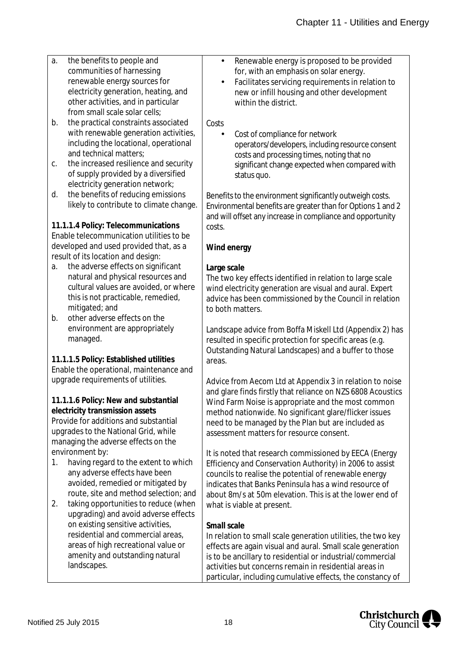| a. | the benefits to people and               | Renewable energy is proposed to be provided                  |
|----|------------------------------------------|--------------------------------------------------------------|
|    | communities of harnessing                | for, with an emphasis on solar energy.                       |
|    | renewable energy sources for             | Facilitates servicing requirements in relation to            |
|    | electricity generation, heating, and     | new or infill housing and other development                  |
|    | other activities, and in particular      | within the district.                                         |
|    | from small scale solar cells;            |                                                              |
| b. | the practical constraints associated     | Costs                                                        |
|    |                                          |                                                              |
|    | with renewable generation activities,    | Cost of compliance for network                               |
|    | including the locational, operational    | operators/developers, including resource consent             |
|    | and technical matters;                   | costs and processing times, noting that no                   |
| С. | the increased resilience and security    | significant change expected when compared with               |
|    | of supply provided by a diversified      | status quo.                                                  |
|    | electricity generation network;          |                                                              |
| d. | the benefits of reducing emissions       | Benefits to the environment significantly outweigh costs.    |
|    | likely to contribute to climate change.  |                                                              |
|    |                                          | Environmental benefits are greater than for Options 1 and 2  |
|    |                                          | and will offset any increase in compliance and opportunity   |
|    | 11.1.1.4 Policy: Telecommunications      | costs.                                                       |
|    | Enable telecommunication utilities to be |                                                              |
|    | developed and used provided that, as a   | Wind energy                                                  |
|    | result of its location and design:       |                                                              |
| a. | the adverse effects on significant       | Large scale                                                  |
|    | natural and physical resources and       | The two key effects identified in relation to large scale    |
|    | cultural values are avoided, or where    | wind electricity generation are visual and aural. Expert     |
|    | this is not practicable, remedied,       | advice has been commissioned by the Council in relation      |
|    | mitigated; and                           | to both matters.                                             |
| b. | other adverse effects on the             |                                                              |
|    | environment are appropriately            |                                                              |
|    |                                          | Landscape advice from Boffa Miskell Ltd (Appendix 2) has     |
|    | managed.                                 | resulted in specific protection for specific areas (e.g.     |
|    |                                          | Outstanding Natural Landscapes) and a buffer to those        |
|    | 11.1.1.5 Policy: Established utilities   | areas.                                                       |
|    | Enable the operational, maintenance and  |                                                              |
|    | upgrade requirements of utilities.       | Advice from Aecom Ltd at Appendix 3 in relation to noise     |
|    |                                          | and glare finds firstly that reliance on NZS 6808 Acoustics  |
|    | 11.1.1.6 Policy: New and substantial     | Wind Farm Noise is appropriate and the most common           |
|    | electricity transmission assets          | method nationwide. No significant glare/flicker issues       |
|    | Provide for additions and substantial    | need to be managed by the Plan but are included as           |
|    | upgrades to the National Grid, while     | assessment matters for resource consent.                     |
|    | managing the adverse effects on the      |                                                              |
|    | environment by:                          |                                                              |
|    |                                          | It is noted that research commissioned by EECA (Energy       |
| 1. | having regard to the extent to which     | Efficiency and Conservation Authority) in 2006 to assist     |
|    | any adverse effects have been            | councils to realise the potential of renewable energy        |
|    | avoided, remedied or mitigated by        | indicates that Banks Peninsula has a wind resource of        |
|    | route, site and method selection; and    | about 8m/s at 50m elevation. This is at the lower end of     |
| 2. | taking opportunities to reduce (when     | what is viable at present.                                   |
|    | upgrading) and avoid adverse effects     |                                                              |
|    | on existing sensitive activities,        | Small scale                                                  |
|    | residential and commercial areas,        | In relation to small scale generation utilities, the two key |
|    | areas of high recreational value or      | effects are again visual and aural. Small scale generation   |
|    | amenity and outstanding natural          | is to be ancillary to residential or industrial/commercial   |
|    | landscapes.                              |                                                              |
|    |                                          | activities but concerns remain in residential areas in       |



particular, including cumulative effects, the constancy of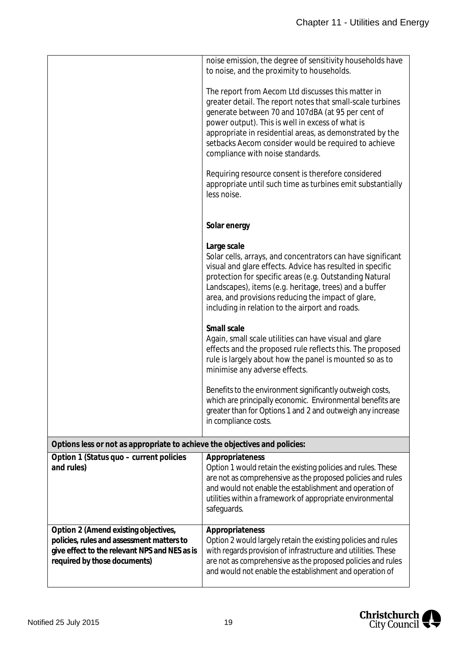|                                                                                                                                                                    | noise emission, the degree of sensitivity households have<br>to noise, and the proximity to households.                                                                                                                                                                                                                                                                           |
|--------------------------------------------------------------------------------------------------------------------------------------------------------------------|-----------------------------------------------------------------------------------------------------------------------------------------------------------------------------------------------------------------------------------------------------------------------------------------------------------------------------------------------------------------------------------|
|                                                                                                                                                                    | The report from Aecom Ltd discusses this matter in<br>greater detail. The report notes that small-scale turbines<br>generate between 70 and 107dBA (at 95 per cent of<br>power output). This is well in excess of what is<br>appropriate in residential areas, as demonstrated by the<br>setbacks Aecom consider would be required to achieve<br>compliance with noise standards. |
|                                                                                                                                                                    | Requiring resource consent is therefore considered<br>appropriate until such time as turbines emit substantially<br>less noise.                                                                                                                                                                                                                                                   |
|                                                                                                                                                                    | Solar energy                                                                                                                                                                                                                                                                                                                                                                      |
|                                                                                                                                                                    | Large scale<br>Solar cells, arrays, and concentrators can have significant<br>visual and glare effects. Advice has resulted in specific<br>protection for specific areas (e.g. Outstanding Natural<br>Landscapes), items (e.g. heritage, trees) and a buffer<br>area, and provisions reducing the impact of glare,<br>including in relation to the airport and roads.             |
|                                                                                                                                                                    | Small scale<br>Again, small scale utilities can have visual and glare<br>effects and the proposed rule reflects this. The proposed<br>rule is largely about how the panel is mounted so as to<br>minimise any adverse effects.                                                                                                                                                    |
|                                                                                                                                                                    | Benefits to the environment significantly outweigh costs,<br>which are principally economic. Environmental benefits are<br>greater than for Options 1 and 2 and outweigh any increase<br>in compliance costs.                                                                                                                                                                     |
| Options less or not as appropriate to achieve the objectives and policies:                                                                                         |                                                                                                                                                                                                                                                                                                                                                                                   |
| Option 1 (Status quo - current policies<br>and rules)                                                                                                              | Appropriateness<br>Option 1 would retain the existing policies and rules. These<br>are not as comprehensive as the proposed policies and rules<br>and would not enable the establishment and operation of<br>utilities within a framework of appropriate environmental<br>safeguards.                                                                                             |
| Option 2 (Amend existing objectives,<br>policies, rules and assessment matters to<br>give effect to the relevant NPS and NES as is<br>required by those documents) | Appropriateness<br>Option 2 would largely retain the existing policies and rules<br>with regards provision of infrastructure and utilities. These<br>are not as comprehensive as the proposed policies and rules<br>and would not enable the establishment and operation of                                                                                                       |

Christchurch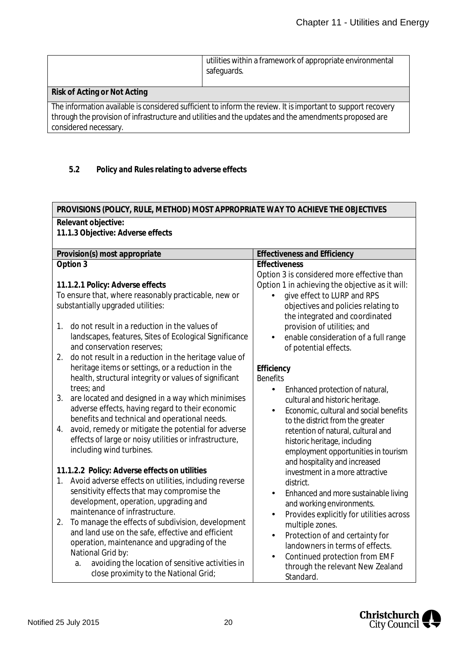|                              | utilities within a framework of appropriate environmental<br>safeguards. |
|------------------------------|--------------------------------------------------------------------------|
| Risk of Acting or Not Acting |                                                                          |

The information available is considered sufficient to inform the review. It is important to support recovery through the provision of infrastructure and utilities and the updates and the amendments proposed are considered necessary.

# **5.2 Policy and Rules relating to adverse effects**

| PROVISIONS (POLICY, RULE, METHOD) MOST APPROPRIATE WAY TO ACHIEVE THE OBJECTIVES                  |                                                                       |  |  |  |  |
|---------------------------------------------------------------------------------------------------|-----------------------------------------------------------------------|--|--|--|--|
| Relevant objective:<br>11.1.3 Objective: Adverse effects                                          |                                                                       |  |  |  |  |
| Provision(s) most appropriate                                                                     | <b>Effectiveness and Efficiency</b>                                   |  |  |  |  |
| Option 3                                                                                          | Effectiveness<br>Option 3 is considered more effective than           |  |  |  |  |
| 11.1.2.1 Policy: Adverse effects                                                                  | Option 1 in achieving the objective as it will:                       |  |  |  |  |
| To ensure that, where reasonably practicable, new or                                              | give effect to LURP and RPS                                           |  |  |  |  |
| substantially upgraded utilities:                                                                 | objectives and policies relating to<br>the integrated and coordinated |  |  |  |  |
| do not result in a reduction in the values of<br>$1_{\cdot}$                                      | provision of utilities; and                                           |  |  |  |  |
| landscapes, features, Sites of Ecological Significance<br>and conservation reserves;              | enable consideration of a full range<br>of potential effects.         |  |  |  |  |
| do not result in a reduction in the heritage value of<br>2.                                       |                                                                       |  |  |  |  |
| heritage items or settings, or a reduction in the                                                 | Efficiency                                                            |  |  |  |  |
| health, structural integrity or values of significant                                             | <b>Benefits</b>                                                       |  |  |  |  |
| trees; and                                                                                        | Enhanced protection of natural,                                       |  |  |  |  |
| are located and designed in a way which minimises<br>3.                                           | cultural and historic heritage.                                       |  |  |  |  |
| adverse effects, having regard to their economic<br>benefits and technical and operational needs. | Economic, cultural and social benefits<br>$\blacksquare$              |  |  |  |  |
| avoid, remedy or mitigate the potential for adverse<br>4.                                         | to the district from the greater                                      |  |  |  |  |
| effects of large or noisy utilities or infrastructure,                                            | retention of natural, cultural and                                    |  |  |  |  |
| including wind turbines.                                                                          | historic heritage, including<br>employment opportunities in tourism   |  |  |  |  |
|                                                                                                   | and hospitality and increased                                         |  |  |  |  |
| 11.1.2.2 Policy: Adverse effects on utilities                                                     | investment in a more attractive                                       |  |  |  |  |
| Avoid adverse effects on utilities, including reverse<br>$1_{\cdot}$                              | district.                                                             |  |  |  |  |
| sensitivity effects that may compromise the                                                       | Enhanced and more sustainable living<br>٠                             |  |  |  |  |
| development, operation, upgrading and                                                             | and working environments.                                             |  |  |  |  |
| maintenance of infrastructure.                                                                    | Provides explicitly for utilities across                              |  |  |  |  |
| 2.<br>To manage the effects of subdivision, development                                           | multiple zones.                                                       |  |  |  |  |
| and land use on the safe, effective and efficient                                                 | Protection of and certainty for<br>$\blacksquare$                     |  |  |  |  |
| operation, maintenance and upgrading of the                                                       | landowners in terms of effects.                                       |  |  |  |  |
| National Grid by:                                                                                 | Continued protection from EMF                                         |  |  |  |  |
| avoiding the location of sensitive activities in<br>a.                                            | through the relevant New Zealand                                      |  |  |  |  |
| close proximity to the National Grid;                                                             | Standard.                                                             |  |  |  |  |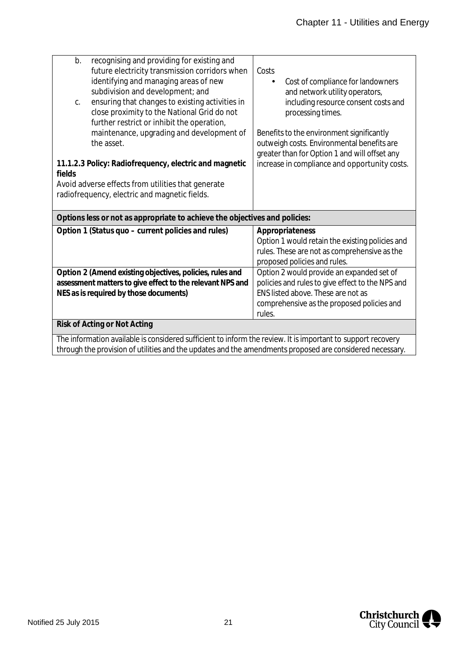| b.<br>C.                                                                                                                                                                                                                 | recognising and providing for existing and<br>future electricity transmission corridors when<br>identifying and managing areas of new<br>subdivision and development; and<br>ensuring that changes to existing activities in<br>close proximity to the National Grid do not<br>further restrict or inhibit the operation,<br>maintenance, upgrading and development of<br>the asset. | Costs<br>Cost of compliance for landowners<br>and network utility operators,<br>including resource consent costs and<br>processing times.<br>Benefits to the environment significantly<br>outweigh costs. Environmental benefits are<br>greater than for Option 1 and will offset any |  |  |  |
|--------------------------------------------------------------------------------------------------------------------------------------------------------------------------------------------------------------------------|--------------------------------------------------------------------------------------------------------------------------------------------------------------------------------------------------------------------------------------------------------------------------------------------------------------------------------------------------------------------------------------|---------------------------------------------------------------------------------------------------------------------------------------------------------------------------------------------------------------------------------------------------------------------------------------|--|--|--|
| fields                                                                                                                                                                                                                   | 11.1.2.3 Policy: Radiofrequency, electric and magnetic<br>Avoid adverse effects from utilities that generate<br>radiofrequency, electric and magnetic fields.                                                                                                                                                                                                                        | increase in compliance and opportunity costs.                                                                                                                                                                                                                                         |  |  |  |
|                                                                                                                                                                                                                          | Options less or not as appropriate to achieve the objectives and policies:                                                                                                                                                                                                                                                                                                           |                                                                                                                                                                                                                                                                                       |  |  |  |
|                                                                                                                                                                                                                          | Option 1 (Status quo - current policies and rules)                                                                                                                                                                                                                                                                                                                                   | Appropriateness<br>Option 1 would retain the existing policies and<br>rules. These are not as comprehensive as the<br>proposed policies and rules.                                                                                                                                    |  |  |  |
|                                                                                                                                                                                                                          | Option 2 (Amend existing objectives, policies, rules and<br>assessment matters to give effect to the relevant NPS and<br>NES as is required by those documents)                                                                                                                                                                                                                      | Option 2 would provide an expanded set of<br>policies and rules to give effect to the NPS and<br>ENS listed above. These are not as<br>comprehensive as the proposed policies and<br>rules.                                                                                           |  |  |  |
|                                                                                                                                                                                                                          | Risk of Acting or Not Acting                                                                                                                                                                                                                                                                                                                                                         |                                                                                                                                                                                                                                                                                       |  |  |  |
| The information available is considered sufficient to inform the review. It is important to support recovery<br>through the provision of utilities and the updates and the amendments proposed are considered necessary. |                                                                                                                                                                                                                                                                                                                                                                                      |                                                                                                                                                                                                                                                                                       |  |  |  |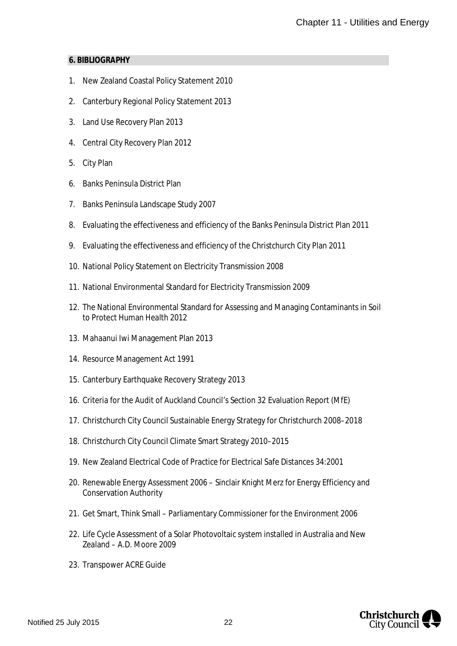#### **6. BIBLIOGRAPHY**

- 1. New Zealand Coastal Policy Statement 2010
- 2. Canterbury Regional Policy Statement 2013
- 3. Land Use Recovery Plan 2013
- 4. Central City Recovery Plan 2012
- 5. City Plan
- 6. Banks Peninsula District Plan
- 7. Banks Peninsula Landscape Study 2007
- 8. Evaluating the effectiveness and efficiency of the Banks Peninsula District Plan 2011
- 9. Evaluating the effectiveness and efficiency of the Christchurch City Plan 2011
- 10. National Policy Statement on Electricity Transmission 2008
- 11. National Environmental Standard for Electricity Transmission 2009
- 12. The National Environmental Standard for Assessing and Managing Contaminants in Soil to Protect Human Health 2012
- 13. Mahaanui Iwi Management Plan 2013
- 14. Resource Management Act 1991
- 15. Canterbury Earthquake Recovery Strategy 2013
- 16. Criteria for the Audit of Auckland Council's Section 32 Evaluation Report (MfE)
- 17. Christchurch City Council Sustainable Energy Strategy for Christchurch 2008–2018
- 18. Christchurch City Council Climate Smart Strategy 2010–2015
- 19. New Zealand Electrical Code of Practice for Electrical Safe Distances 34:2001
- 20. Renewable Energy Assessment 2006 Sinclair Knight Merz for Energy Efficiency and Conservation Authority
- 21. Get Smart, Think Small Parliamentary Commissioner for the Environment 2006
- 22. Life Cycle Assessment of a Solar Photovoltaic system installed in Australia and New Zealand – A.D. Moore 2009
- 23. Transpower ACRE Guide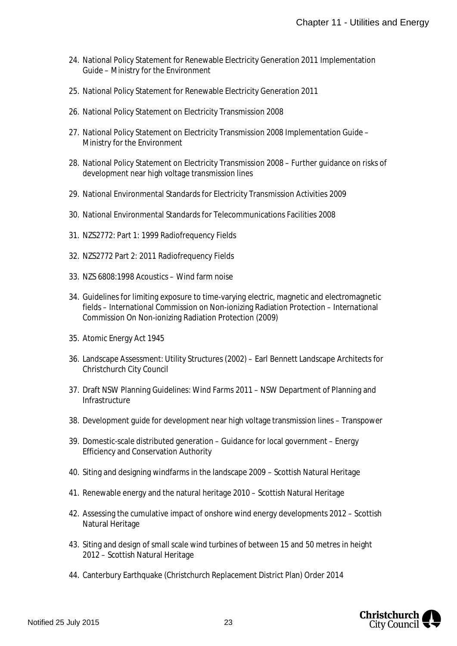- 24. National Policy Statement for Renewable Electricity Generation 2011 Implementation Guide – Ministry for the Environment
- 25. National Policy Statement for Renewable Electricity Generation 2011
- 26. National Policy Statement on Electricity Transmission 2008
- 27. National Policy Statement on Electricity Transmission 2008 Implementation Guide Ministry for the Environment
- 28. National Policy Statement on Electricity Transmission 2008 Further guidance on risks of development near high voltage transmission lines
- 29. National Environmental Standards for Electricity Transmission Activities 2009
- 30. National Environmental Standards for Telecommunications Facilities 2008
- 31. NZS2772: Part 1: 1999 Radiofrequency Fields
- 32. NZS2772 Part 2: 2011 Radiofrequency Fields
- 33. NZS 6808:1998 Acoustics Wind farm noise
- 34. Guidelines for limiting exposure to time-varying electric, magnetic and electromagnetic fields – International Commission on Non-ionizing Radiation Protection – International Commission On Non-ionizing Radiation Protection (2009)
- 35. Atomic Energy Act 1945
- 36. Landscape Assessment: Utility Structures (2002) Earl Bennett Landscape Architects for Christchurch City Council
- 37. Draft NSW Planning Guidelines: Wind Farms 2011 NSW Department of Planning and Infrastructure
- 38. Development guide for development near high voltage transmission lines Transpower
- 39. Domestic-scale distributed generation Guidance for local government Energy Efficiency and Conservation Authority
- 40. Siting and designing windfarms in the landscape 2009 Scottish Natural Heritage
- 41. Renewable energy and the natural heritage 2010 Scottish Natural Heritage
- 42. Assessing the cumulative impact of onshore wind energy developments 2012 Scottish Natural Heritage
- <span id="page-23-0"></span>43. Siting and design of small scale wind turbines of between 15 and 50 metres in height 2012 – Scottish Natural Heritage
- 44. Canterbury Earthquake (Christchurch Replacement District Plan) Order 2014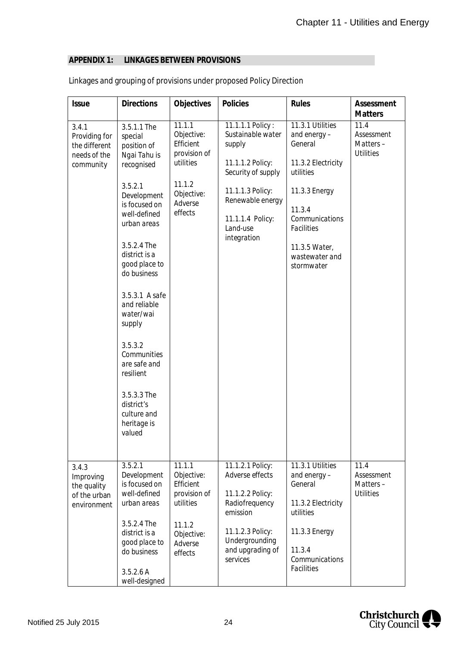# <span id="page-24-0"></span>**APPENDIX 1: LINKAGES BETWEEN PROVISIONS**

| <b>Issue</b>                                                         | <b>Directions</b>                                                                                                                                                                                                                                                                                                                                                                                  | Objectives                                                                                                   | Policies                                                                                                                                                                         | Rules                                                                                                                                                                                            | Assessment<br><b>Matters</b>                       |
|----------------------------------------------------------------------|----------------------------------------------------------------------------------------------------------------------------------------------------------------------------------------------------------------------------------------------------------------------------------------------------------------------------------------------------------------------------------------------------|--------------------------------------------------------------------------------------------------------------|----------------------------------------------------------------------------------------------------------------------------------------------------------------------------------|--------------------------------------------------------------------------------------------------------------------------------------------------------------------------------------------------|----------------------------------------------------|
| 3.4.1<br>Providing for<br>the different<br>needs of the<br>community | 3.5.1.1 The<br>special<br>position of<br>Ngai Tahu is<br>recognised<br>3.5.2.1<br>Development<br>is focused on<br>well-defined<br>urban areas<br>3.5.2.4 The<br>district is a<br>good place to<br>do business<br>3.5.3.1 A safe<br>and reliable<br>water/wai<br>supply<br>3.5.3.2<br>Communities<br>are safe and<br>resilient<br>3.5.3.3 The<br>district's<br>culture and<br>heritage is<br>valued | 11.1.1<br>Objective:<br>Efficient<br>provision of<br>utilities<br>11.1.2<br>Objective:<br>Adverse<br>effects | 11.1.1.1 Policy:<br>Sustainable water<br>supply<br>11.1.1.2 Policy:<br>Security of supply<br>11.1.1.3 Policy:<br>Renewable energy<br>11.1.1.4 Policy:<br>Land-use<br>integration | 11.3.1 Utilities<br>and energy-<br>General<br>11.3.2 Electricity<br>utilities<br>11.3.3 Energy<br>11.3.4<br>Communications<br><b>Facilities</b><br>11.3.5 Water,<br>wastewater and<br>stormwater | 11.4<br>Assessment<br>Matters-<br><b>Utilities</b> |
| 3.4.3<br>Improving<br>the quality<br>of the urban<br>environment     | 3.5.2.1<br>Development<br>is focused on<br>well-defined<br>urban areas<br>3.5.2.4 The<br>district is a<br>good place to<br>do business<br>3.5.2.6A<br>well-designed                                                                                                                                                                                                                                | 11.1.1<br>Objective:<br>Efficient<br>provision of<br>utilities<br>11.1.2<br>Objective:<br>Adverse<br>effects | 11.1.2.1 Policy:<br>Adverse effects<br>11.1.2.2 Policy:<br>Radiofrequency<br>emission<br>11.1.2.3 Policy:<br>Undergrounding<br>and upgrading of<br>services                      | 11.3.1 Utilities<br>and energy-<br>General<br>11.3.2 Electricity<br>utilities<br>11.3.3 Energy<br>11.3.4<br>Communications<br><b>Facilities</b>                                                  | 11.4<br>Assessment<br>Matters-<br><b>Utilities</b> |

# Linkages and grouping of provisions under proposed Policy Direction

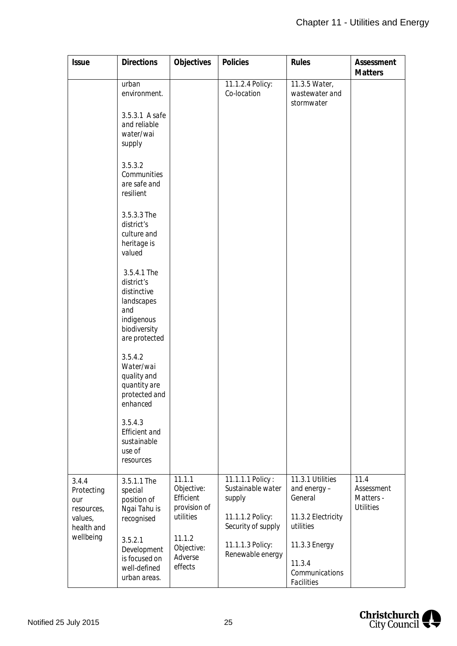| <b>Issue</b>                                                      | <b>Directions</b>                                                                                                                     | Objectives                                                     | Policies                                                                                  | Rules                                                                         | Assessment<br><b>Matters</b>                        |
|-------------------------------------------------------------------|---------------------------------------------------------------------------------------------------------------------------------------|----------------------------------------------------------------|-------------------------------------------------------------------------------------------|-------------------------------------------------------------------------------|-----------------------------------------------------|
|                                                                   | urban<br>environment.<br>3.5.3.1 A safe<br>and reliable<br>water/wai<br>supply<br>3.5.3.2<br>Communities<br>are safe and<br>resilient |                                                                | 11.1.2.4 Policy:<br>Co-location                                                           | 11.3.5 Water,<br>wastewater and<br>stormwater                                 |                                                     |
|                                                                   | 3.5.3.3 The<br>district's<br>culture and<br>heritage is<br>valued                                                                     |                                                                |                                                                                           |                                                                               |                                                     |
|                                                                   | 3.5.4.1 The<br>district's<br>distinctive<br>landscapes<br>and<br>indigenous<br>biodiversity<br>are protected                          |                                                                |                                                                                           |                                                                               |                                                     |
|                                                                   | 3.5.4.2<br>Water/wai<br>quality and<br>quantity are<br>protected and<br>enhanced                                                      |                                                                |                                                                                           |                                                                               |                                                     |
|                                                                   | 3.5.4.3<br><b>Efficient</b> and<br>sustainable<br>use of<br>resources                                                                 |                                                                |                                                                                           |                                                                               |                                                     |
| 3.4.4<br>Protecting<br>our<br>resources,<br>values,<br>health and | 3.5.1.1 The<br>special<br>position of<br>Ngai Tahu is<br>recognised                                                                   | 11.1.1<br>Objective:<br>Efficient<br>provision of<br>utilities | 11.1.1.1 Policy:<br>Sustainable water<br>supply<br>11.1.1.2 Policy:<br>Security of supply | 11.3.1 Utilities<br>and energy-<br>General<br>11.3.2 Electricity<br>utilities | 11.4<br>Assessment<br>Matters -<br><b>Utilities</b> |
| wellbeing                                                         | 3.5.2.1<br>Development<br>is focused on<br>well-defined<br>urban areas.                                                               | 11.1.2<br>Objective:<br>Adverse<br>effects                     | 11.1.1.3 Policy:<br>Renewable energy                                                      | 11.3.3 Energy<br>11.3.4<br>Communications<br><b>Facilities</b>                |                                                     |

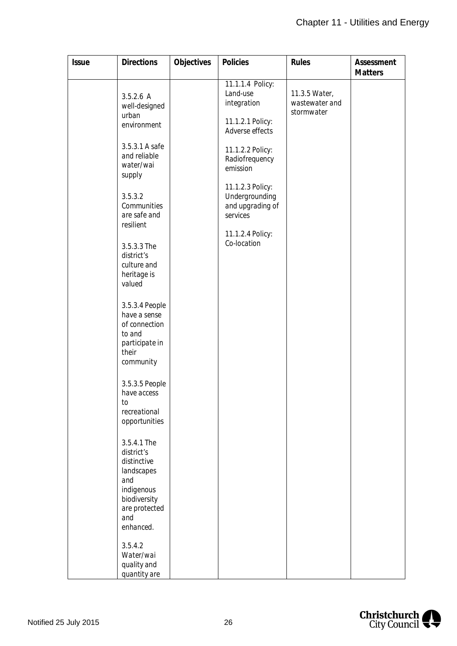| <b>Issue</b> | <b>Directions</b>                                                                                                                                                                                                                                                                                                                                                                                                                                                                                                                   | Objectives | Policies                                                                                                                                                                                                                                      | Rules                                         | Assessment     |
|--------------|-------------------------------------------------------------------------------------------------------------------------------------------------------------------------------------------------------------------------------------------------------------------------------------------------------------------------------------------------------------------------------------------------------------------------------------------------------------------------------------------------------------------------------------|------------|-----------------------------------------------------------------------------------------------------------------------------------------------------------------------------------------------------------------------------------------------|-----------------------------------------------|----------------|
|              | 3.5.2.6A<br>well-designed<br>urban<br>environment<br>3.5.3.1 A safe<br>and reliable<br>water/wai<br>supply<br>3.5.3.2<br>Communities<br>are safe and<br>resilient<br>3.5.3.3 The<br>district's<br>culture and<br>heritage is<br>valued<br>3.5.3.4 People<br>have a sense<br>of connection<br>to and<br>participate in<br>their<br>community<br>3.5.3.5 People<br>have access<br>to<br>recreational<br>opportunities<br>3.5.4.1 The<br>district's<br>distinctive<br>landscapes<br>and<br>indigenous<br>biodiversity<br>are protected |            | 11.1.1.4 Policy:<br>Land-use<br>integration<br>11.1.2.1 Policy:<br>Adverse effects<br>11.1.2.2 Policy:<br>Radiofrequency<br>emission<br>11.1.2.3 Policy:<br>Undergrounding<br>and upgrading of<br>services<br>11.1.2.4 Policy:<br>Co-location | 11.3.5 Water,<br>wastewater and<br>stormwater | <b>Matters</b> |
|              | and<br>enhanced.<br>3.5.4.2<br>Water/wai<br>quality and<br>quantity are                                                                                                                                                                                                                                                                                                                                                                                                                                                             |            |                                                                                                                                                                                                                                               |                                               |                |

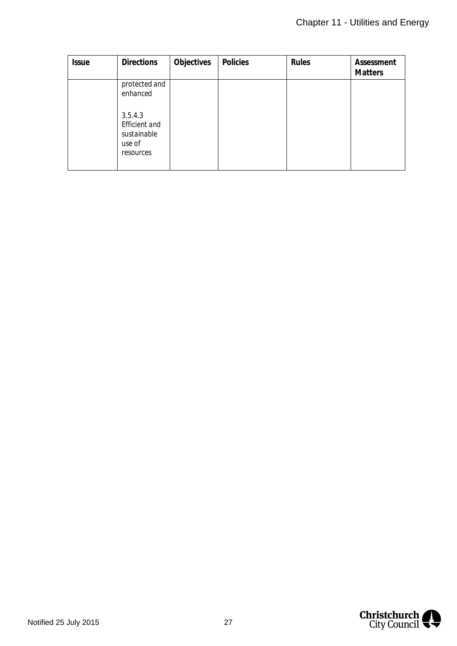| <b>Issue</b> | <b>Directions</b>                                                     | Objectives | Policies | Rules | Assessment<br><b>Matters</b> |
|--------------|-----------------------------------------------------------------------|------------|----------|-------|------------------------------|
|              | protected and<br>enhanced                                             |            |          |       |                              |
|              | 3.5.4.3<br><b>Efficient</b> and<br>sustainable<br>use of<br>resources |            |          |       |                              |

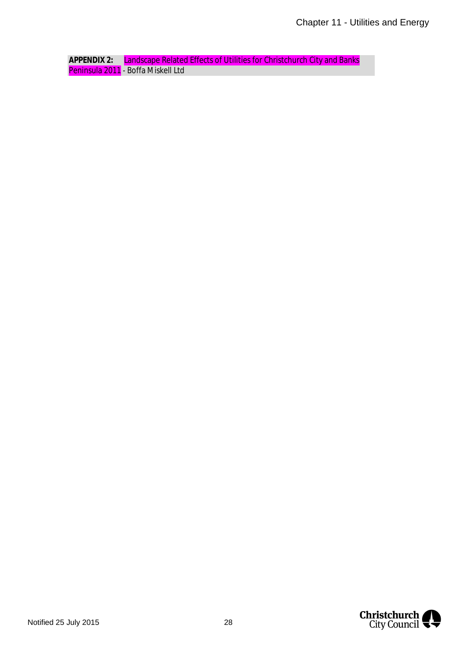**APPENDIX 2:** Landscape Related Effects of Utilities for Christchurch City and Banks Peninsula 2011 - Boffa Miskell Ltd